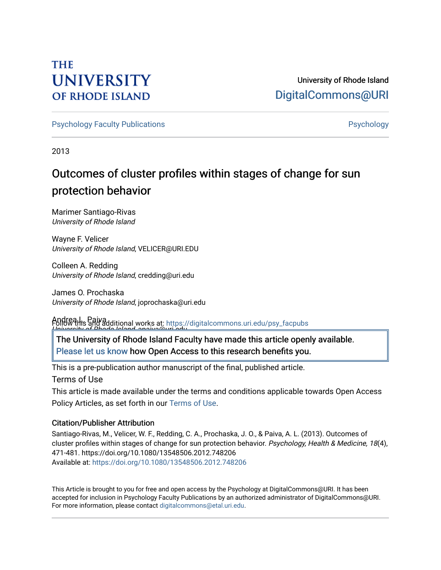### **THE UNIVERSITY OF RHODE ISLAND**

### University of Rhode Island [DigitalCommons@URI](https://digitalcommons.uri.edu/)

[Psychology Faculty Publications](https://digitalcommons.uri.edu/psy_facpubs) **Provides** [Psychology](https://digitalcommons.uri.edu/psy) **Psychology** 

2013

## Outcomes of cluster profiles within stages of change for sun protection behavior

Marimer Santiago-Rivas University of Rhode Island

Wayne F. Velicer University of Rhode Island, VELICER@URI.EDU

Colleen A. Redding University of Rhode Island, credding@uri.edu

James O. Prochaska University of Rhode Island, joprochaska@uri.edu

Andrea L. Paiva <u>University of Dhade Island, apaiva@uri.<sup>i</sup>odu.</u><br>| Follow this and additional works at: https://digitalcommons.uri.edu/psy\_facpubs

The University of Rhode Island Faculty have made this article openly available. [Please let us know](http://web.uri.edu/library-digital-initiatives/open-access-online-form/) how Open Access to this research benefits you.

This is a pre-publication author manuscript of the final, published article.

Terms of Use

This article is made available under the terms and conditions applicable towards Open Access Policy Articles, as set forth in our [Terms of Use](https://digitalcommons.uri.edu/psy_facpubs/oa_policy_terms.html).

#### Citation/Publisher Attribution

Santiago-Rivas, M., Velicer, W. F., Redding, C. A., Prochaska, J. O., & Paiva, A. L. (2013). Outcomes of cluster profiles within stages of change for sun protection behavior. Psychology, Health & Medicine, 18(4), 471-481. https://doi.org/10.1080/13548506.2012.748206 Available at:<https://doi.org/10.1080/13548506.2012.748206>

This Article is brought to you for free and open access by the Psychology at DigitalCommons@URI. It has been accepted for inclusion in Psychology Faculty Publications by an authorized administrator of DigitalCommons@URI. For more information, please contact [digitalcommons@etal.uri.edu](mailto:digitalcommons@etal.uri.edu).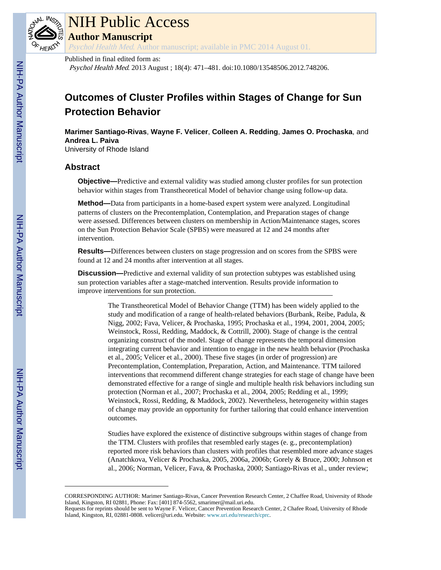

## NIH Public Access

**Author Manuscript**

Psychol Health Med. Author manuscript; available in PMC 2014 August 01.

#### Published in final edited form as:

Psychol Health Med. 2013 August ; 18(4): 471–481. doi:10.1080/13548506.2012.748206.

### **Outcomes of Cluster Profiles within Stages of Change for Sun Protection Behavior**

**Marimer Santiago-Rivas**, **Wayne F. Velicer**, **Colleen A. Redding**, **James O. Prochaska**, and **Andrea L. Paiva**

University of Rhode Island

#### **Abstract**

**Objective—**Predictive and external validity was studied among cluster profiles for sun protection behavior within stages from Transtheoretical Model of behavior change using follow-up data.

**Method—**Data from participants in a home-based expert system were analyzed. Longitudinal patterns of clusters on the Precontemplation, Contemplation, and Preparation stages of change were assessed. Differences between clusters on membership in Action/Maintenance stages, scores on the Sun Protection Behavior Scale (SPBS) were measured at 12 and 24 months after intervention.

**Results—**Differences between clusters on stage progression and on scores from the SPBS were found at 12 and 24 months after intervention at all stages.

**Discussion—**Predictive and external validity of sun protection subtypes was established using sun protection variables after a stage-matched intervention. Results provide information to improve interventions for sun protection.

> The Transtheoretical Model of Behavior Change (TTM) has been widely applied to the study and modification of a range of health-related behaviors (Burbank, Reibe, Padula, & Nigg, 2002; Fava, Velicer, & Prochaska, 1995; Prochaska et al., 1994, 2001, 2004, 2005; Weinstock, Rossi, Redding, Maddock, & Cottrill, 2000). Stage of change is the central organizing construct of the model. Stage of change represents the temporal dimension integrating current behavior and intention to engage in the new health behavior (Prochaska et al., 2005; Velicer et al., 2000). These five stages (in order of progression) are Precontemplation, Contemplation, Preparation, Action, and Maintenance. TTM tailored interventions that recommend different change strategies for each stage of change have been demonstrated effective for a range of single and multiple health risk behaviors including sun protection (Norman et al., 2007; Prochaska et al., 2004, 2005; Redding et al., 1999; Weinstock, Rossi, Redding, & Maddock, 2002). Nevertheless, heterogeneity within stages of change may provide an opportunity for further tailoring that could enhance intervention outcomes.

> Studies have explored the existence of distinctive subgroups within stages of change from the TTM. Clusters with profiles that resembled early stages (e. g., precontemplation) reported more risk behaviors than clusters with profiles that resembled more advance stages (Anatchkova, Velicer & Prochaska, 2005, 2006a, 2006b; Gorely & Bruce, 2000; Johnson et al., 2006; Norman, Velicer, Fava, & Prochaska, 2000; Santiago-Rivas et al., under review;

CORRESPONDING AUTHOR: Marimer Santiago-Rivas, Cancer Prevention Research Center, 2 Chaffee Road, University of Rhode Island, Kingston, RI 02881, Phone: Fax: [401] 874-5562, smarimer@mail.uri.edu.

Requests for reprints should be sent to Wayne F. Velicer, Cancer Prevention Research Center, 2 Chafee Road, University of Rhode Island, Kingston, RI, 02881-0808. velicer@uri.edu. Website: [www.uri.edu/research/cprc](http://www.uri.edu/research/cprc).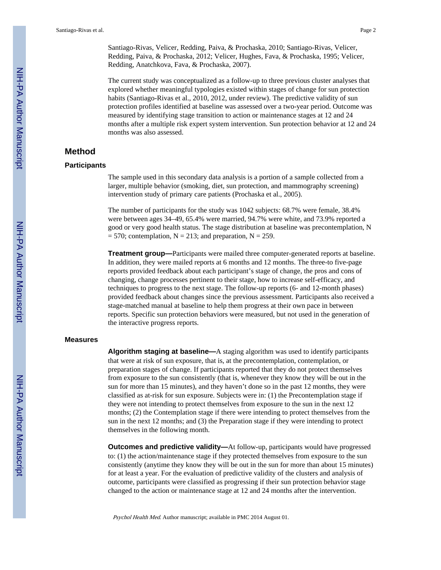The current study was conceptualized as a follow-up to three previous cluster analyses that explored whether meaningful typologies existed within stages of change for sun protection habits (Santiago-Rivas et al., 2010, 2012, under review). The predictive validity of sun protection profiles identified at baseline was assessed over a two-year period. Outcome was measured by identifying stage transition to action or maintenance stages at 12 and 24 months after a multiple risk expert system intervention. Sun protection behavior at 12 and 24 months was also assessed.

#### **Method**

#### **Participants**

The sample used in this secondary data analysis is a portion of a sample collected from a larger, multiple behavior (smoking, diet, sun protection, and mammography screening) intervention study of primary care patients (Prochaska et al., 2005).

The number of participants for the study was 1042 subjects: 68.7% were female, 38.4% were between ages 34–49, 65.4% were married, 94.7% were white, and 73.9% reported a good or very good health status. The stage distribution at baseline was precontemplation, N  $= 570$ ; contemplation, N = 213; and preparation, N = 259.

**Treatment group—**Participants were mailed three computer-generated reports at baseline. In addition, they were mailed reports at 6 months and 12 months. The three-to five-page reports provided feedback about each participant's stage of change, the pros and cons of changing, change processes pertinent to their stage, how to increase self-efficacy, and techniques to progress to the next stage. The follow-up reports (6- and 12-month phases) provided feedback about changes since the previous assessment. Participants also received a stage-matched manual at baseline to help them progress at their own pace in between reports. Specific sun protection behaviors were measured, but not used in the generation of the interactive progress reports.

#### **Measures**

**Algorithm staging at baseline—**A staging algorithm was used to identify participants that were at risk of sun exposure, that is, at the precontemplation, contemplation, or preparation stages of change. If participants reported that they do not protect themselves from exposure to the sun consistently (that is, whenever they know they will be out in the sun for more than 15 minutes), and they haven't done so in the past 12 months, they were classified as at-risk for sun exposure. Subjects were in: (1) the Precontemplation stage if they were not intending to protect themselves from exposure to the sun in the next 12 months; (2) the Contemplation stage if there were intending to protect themselves from the sun in the next 12 months; and (3) the Preparation stage if they were intending to protect themselves in the following month.

**Outcomes and predictive validity—**At follow-up, participants would have progressed to: (1) the action/maintenance stage if they protected themselves from exposure to the sun consistently (anytime they know they will be out in the sun for more than about 15 minutes) for at least a year. For the evaluation of predictive validity of the clusters and analysis of outcome, participants were classified as progressing if their sun protection behavior stage changed to the action or maintenance stage at 12 and 24 months after the intervention.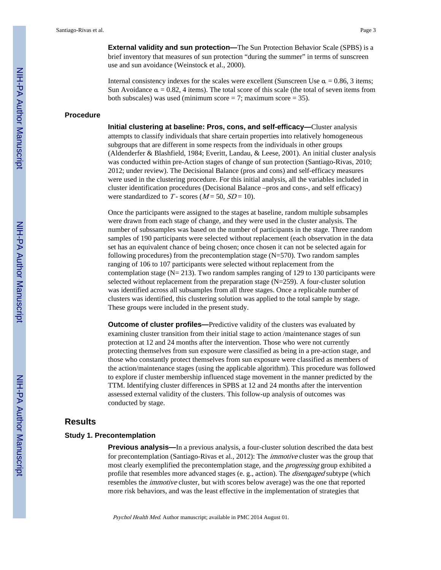**External validity and sun protection—**The Sun Protection Behavior Scale (SPBS) is a brief inventory that measures of sun protection "during the summer" in terms of sunscreen use and sun avoidance (Weinstock et al., 2000).

Internal consistency indexes for the scales were excellent (Sunscreen Use  $\alpha = 0.86, 3$  items; Sun Avoidance  $\alpha = 0.82$ , 4 items). The total score of this scale (the total of seven items from both subscales) was used (minimum score  $= 7$ ; maximum score  $= 35$ ).

#### **Procedure**

**Initial clustering at baseline: Pros, cons, and self-efficacy—**Cluster analysis attempts to classify individuals that share certain properties into relatively homogeneous subgroups that are different in some respects from the individuals in other groups (Aldenderfer & Blashfield, 1984; Everitt, Landau, & Leese, 2001). An initial cluster analysis was conducted within pre-Action stages of change of sun protection (Santiago-Rivas, 2010; 2012; under review). The Decisional Balance (pros and cons) and self-efficacy measures were used in the clustering procedure. For this initial analysis, all the variables included in cluster identification procedures (Decisional Balance –pros and cons-, and self efficacy) were standardized to T - scores ( $M = 50$ ,  $SD = 10$ ).

Once the participants were assigned to the stages at baseline, random multiple subsamples were drawn from each stage of change, and they were used in the cluster analysis. The number of subssamples was based on the number of participants in the stage. Three random samples of 190 participants were selected without replacement (each observation in the data set has an equivalent chance of being chosen; once chosen it can not be selected again for following procedures) from the precontemplation stage (N=570). Two random samples ranging of 106 to 107 participants were selected without replacement from the contemplation stage ( $N = 213$ ). Two random samples ranging of 129 to 130 participants were selected without replacement from the preparation stage (N=259). A four-cluster solution was identified across all subsamples from all three stages. Once a replicable number of clusters was identified, this clustering solution was applied to the total sample by stage. These groups were included in the present study.

**Outcome of cluster profiles—**Predictive validity of the clusters was evaluated by examining cluster transition from their initial stage to action /maintenance stages of sun protection at 12 and 24 months after the intervention. Those who were not currently protecting themselves from sun exposure were classified as being in a pre-action stage, and those who constantly protect themselves from sun exposure were classified as members of the action/maintenance stages (using the applicable algorithm). This procedure was followed to explore if cluster membership influenced stage movement in the manner predicted by the TTM. Identifying cluster differences in SPBS at 12 and 24 months after the intervention assessed external validity of the clusters. This follow-up analysis of outcomes was conducted by stage.

#### **Results**

#### **Study 1. Precontemplation**

**Previous analysis—**In a previous analysis, a four-cluster solution described the data best for precontemplation (Santiago-Rivas et al., 2012): The immotive cluster was the group that most clearly exemplified the precontemplation stage, and the *progressing* group exhibited a profile that resembles more advanced stages (e. g., action). The *disengaged* subtype (which resembles the immotive cluster, but with scores below average) was the one that reported more risk behaviors, and was the least effective in the implementation of strategies that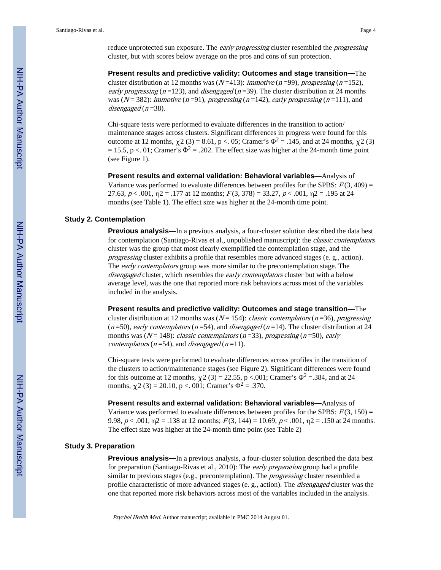reduce unprotected sun exposure. The *early progressing* cluster resembled the *progressing* cluster, but with scores below average on the pros and cons of sun protection.

**Present results and predictive validity: Outcomes and stage transition—**The cluster distribution at 12 months was ( $N=413$ ): *immotive* ( $n=99$ ), *progressing* ( $n=152$ ), early progressing  $(n=123)$ , and disengaged  $(n=39)$ . The cluster distribution at 24 months was ( $N = 382$ ): immotive (n=91), progressing (n=142), early progressing (n=111), and disengaged  $(n=38)$ .

Chi-square tests were performed to evaluate differences in the transition to action/ maintenance stages across clusters. Significant differences in progress were found for this outcome at 12 months,  $\chi^2$  (3) = 8.61, p < 05; Cramer's  $\Phi^2$  = .145, and at 24 months,  $\chi^2$  (3) = 15.5, p <. 01; Cramer's  $\Phi^2$  = .202. The effect size was higher at the 24-month time point (see Figure 1).

**Present results and external validation: Behavioral variables—**Analysis of Variance was performed to evaluate differences between profiles for the SPBS:  $F(3, 409) =$ 27.63,  $p < .001$ ,  $p2 = .177$  at 12 months;  $F(3, 378) = 33.27$ ,  $p < .001$ ,  $p2 = .195$  at 24 months (see Table 1). The effect size was higher at the 24-month time point.

#### **Study 2. Contemplation**

**Previous analysis—**In a previous analysis, a four-cluster solution described the data best for contemplation (Santiago-Rivas et al., unpublished manuscript): the *classic contemplators* cluster was the group that most clearly exemplified the contemplation stage, and the progressing cluster exhibits a profile that resembles more advanced stages (e. g., action). The *early contemplators* group was more similar to the precontemplation stage. The disengaged cluster, which resembles the early contemplators cluster but with a below average level, was the one that reported more risk behaviors across most of the variables included in the analysis.

**Present results and predictive validity: Outcomes and stage transition—**The cluster distribution at 12 months was ( $N = 154$ ): *classic contemplators* ( $n = 36$ ), *progressing*  $(n=50)$ , early contemplators  $(n=54)$ , and disengaged  $(n=14)$ . The cluster distribution at 24 months was ( $N = 148$ ): classic contemplators ( $n = 33$ ), progressing ( $n = 50$ ), early contemplators ( $n = 54$ ), and *disengaged* ( $n = 11$ ).

Chi-square tests were performed to evaluate differences across profiles in the transition of the clusters to action/maintenance stages (see Figure 2). Significant differences were found for this outcome at 12 months,  $\chi$ 2 (3) = 22.55, p <.001; Cramer's  $\Phi$ <sup>2</sup> = 384, and at 24 months,  $\chi^2$  (3) = 20.10, p < . 001; Cramer's  $\Phi^2$  = .370.

**Present results and external validation: Behavioral variables—**Analysis of Variance was performed to evaluate differences between profiles for the SPBS:  $F(3, 150) =$ 9.98,  $p < .001$ ,  $p2 = .138$  at 12 months;  $F(3, 144) = 10.69$ ,  $p < .001$ ,  $p2 = .150$  at 24 months. The effect size was higher at the 24-month time point (see Table 2)

#### **Study 3. Preparation**

**Previous analysis—**In a previous analysis, a four-cluster solution described the data best for preparation (Santiago-Rivas et al., 2010): The early preparation group had a profile similar to previous stages (e.g., precontemplation). The *progressing* cluster resembled a profile characteristic of more advanced stages (e. g., action). The disengaged cluster was the one that reported more risk behaviors across most of the variables included in the analysis.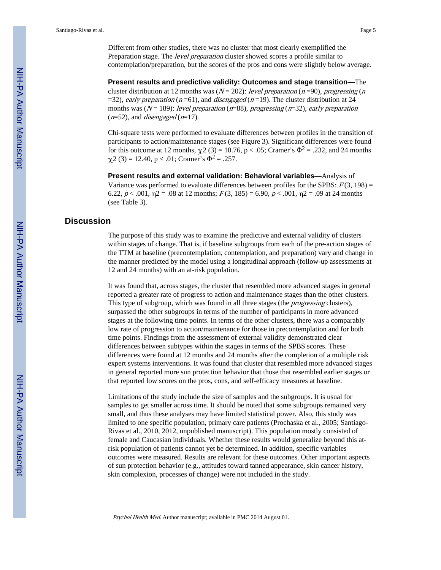Santiago-Rivas et al. Page 5

Different from other studies, there was no cluster that most clearly exemplified the Preparation stage. The *level preparation* cluster showed scores a profile similar to contemplation/preparation, but the scores of the pros and cons were slightly below average.

**Present results and predictive validity: Outcomes and stage transition—**The cluster distribution at 12 months was ( $N = 202$ ): level preparation (n=90), progressing (n =32), early preparation ( $n = 61$ ), and *disengaged* ( $n = 19$ ). The cluster distribution at 24 months was ( $N = 189$ ): level preparation ( $n=88$ ), progressing ( $n=32$ ), early preparation  $(n=52)$ , and *disengaged* ( $n=17$ ).

Chi-square tests were performed to evaluate differences between profiles in the transition of participants to action/maintenance stages (see Figure 3). Significant differences were found for this outcome at 12 months,  $\chi$ 2 (3) = 10.76, p < .05; Cramer's  $\Phi$ <sup>2</sup> = .232, and 24 months  $\chi$ 2 (3) = 12.40, p < .01; Cramer's  $\Phi$ <sup>2</sup> = .257.

**Present results and external validation: Behavioral variables—**Analysis of Variance was performed to evaluate differences between profiles for the SPBS:  $F(3, 198) =$ 6.22,  $p < .001$ ,  $p2 = .08$  at 12 months;  $F(3, 185) = 6.90$ ,  $p < .001$ ,  $p2 = .09$  at 24 months (see Table 3).

#### **Discussion**

The purpose of this study was to examine the predictive and external validity of clusters within stages of change. That is, if baseline subgroups from each of the pre-action stages of the TTM at baseline (precontemplation, contemplation, and preparation) vary and change in the manner predicted by the model using a longitudinal approach (follow-up assessments at 12 and 24 months) with an at-risk population.

It was found that, across stages, the cluster that resembled more advanced stages in general reported a greater rate of progress to action and maintenance stages than the other clusters. This type of subgroup, which was found in all three stages (the *progressing* clusters), surpassed the other subgroups in terms of the number of participants in more advanced stages at the following time points. In terms of the other clusters, there was a comparably low rate of progression to action/maintenance for those in precontemplation and for both time points. Findings from the assessment of external validity demonstrated clear differences between subtypes within the stages in terms of the SPBS scores. These differences were found at 12 months and 24 months after the completion of a multiple risk expert systems interventions. It was found that cluster that resembled more advanced stages in general reported more sun protection behavior that those that resembled earlier stages or that reported low scores on the pros, cons, and self-efficacy measures at baseline.

Limitations of the study include the size of samples and the subgroups. It is usual for samples to get smaller across time. It should be noted that some subgroups remained very small, and thus these analyses may have limited statistical power. Also, this study was limited to one specific population, primary care patients (Prochaska et al., 2005; Santiago-Rivas et al., 2010, 2012, unpublished manuscript). This population mostly consisted of female and Caucasian individuals. Whether these results would generalize beyond this atrisk population of patients cannot yet be determined. In addition, specific variables outcomes were measured. Results are relevant for these outcomes. Other important aspects of sun protection behavior (e.g., attitudes toward tanned appearance, skin cancer history, skin complexion, processes of change) were not included in the study.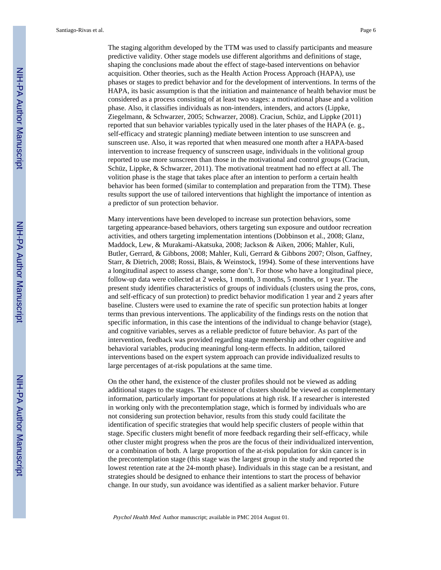The staging algorithm developed by the TTM was used to classify participants and measure predictive validity. Other stage models use different algorithms and definitions of stage, shaping the conclusions made about the effect of stage-based interventions on behavior acquisition. Other theories, such as the Health Action Process Approach (HAPA), use phases or stages to predict behavior and for the development of interventions. In terms of the HAPA, its basic assumption is that the initiation and maintenance of health behavior must be considered as a process consisting of at least two stages: a motivational phase and a volition phase. Also, it classifies individuals as non-intenders, intenders, and actors (Lippke, Ziegelmann, & Schwarzer, 2005; Schwarzer, 2008). Craciun, Schüz, and Lippke (2011) reported that sun behavior variables typically used in the later phases of the HAPA (e. g., self-efficacy and strategic planning) mediate between intention to use sunscreen and sunscreen use. Also, it was reported that when measured one month after a HAPA-based intervention to increase frequency of sunscreen usage, individuals in the volitional group reported to use more sunscreen than those in the motivational and control groups (Craciun, Schüz, Lippke, & Schwarzer, 2011). The motivational treatment had no effect at all. The volition phase is the stage that takes place after an intention to perform a certain health behavior has been formed (similar to contemplation and preparation from the TTM). These results support the use of tailored interventions that highlight the importance of intention as a predictor of sun protection behavior.

Many interventions have been developed to increase sun protection behaviors, some targeting appearance-based behaviors, others targeting sun exposure and outdoor recreation activities, and others targeting implementation intentions (Dobbinson et al., 2008; Glanz, Maddock, Lew, & Murakami-Akatsuka, 2008; Jackson & Aiken, 2006; Mahler, Kuli, Butler, Gerrard, & Gibbons, 2008; Mahler, Kuli, Gerrard & Gibbons 2007; Olson, Gaffney, Starr, & Dietrich, 2008; Rossi, Blais, & Weinstock, 1994). Some of these interventions have a longitudinal aspect to assess change, some don't. For those who have a longitudinal piece, follow-up data were collected at 2 weeks, 1 month, 3 months, 5 months, or 1 year. The present study identifies characteristics of groups of individuals (clusters using the pros, cons, and self-efficacy of sun protection) to predict behavior modification 1 year and 2 years after baseline. Clusters were used to examine the rate of specific sun protection habits at longer terms than previous interventions. The applicability of the findings rests on the notion that specific information, in this case the intentions of the individual to change behavior (stage), and cognitive variables, serves as a reliable predictor of future behavior. As part of the intervention, feedback was provided regarding stage membership and other cognitive and behavioral variables, producing meaningful long-term effects. In addition, tailored interventions based on the expert system approach can provide individualized results to large percentages of at-risk populations at the same time.

On the other hand, the existence of the cluster profiles should not be viewed as adding additional stages to the stages. The existence of clusters should be viewed as complementary information, particularly important for populations at high risk. If a researcher is interested in working only with the precontemplation stage, which is formed by individuals who are not considering sun protection behavior, results from this study could facilitate the identification of specific strategies that would help specific clusters of people within that stage. Specific clusters might benefit of more feedback regarding their self-efficacy, while other cluster might progress when the pros are the focus of their individualized intervention, or a combination of both. A large proportion of the at-risk population for skin cancer is in the precontemplation stage (this stage was the largest group in the study and reported the lowest retention rate at the 24-month phase). Individuals in this stage can be a resistant, and strategies should be designed to enhance their intentions to start the process of behavior change. In our study, sun avoidance was identified as a salient marker behavior. Future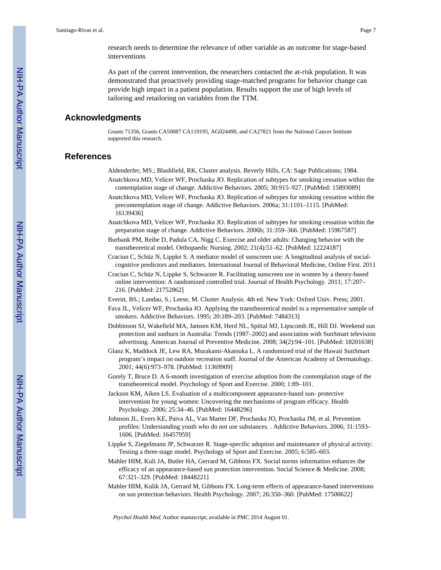research needs to determine the relevance of other variable as an outcome for stage-based interventions

As part of the current intervention, the researchers contacted the at-risk population. It was demonstrated that proactively providing stage-matched programs for behavior change can provide high impact in a patient population. Results support the use of high levels of tailoring and retailoring on variables from the TTM.

#### **Acknowledgments**

Grants 71356, Grants CA50087 CA119195, AG024490, and CA27821 from the National Cancer Institute supported this research.

#### **References**

- Aldenderfer, MS.; Blashfield, RK. Cluster analysis. Beverly Hills, CA: Sage Publications; 1984. Anatchkova MD, Velicer WF, Prochaska JO. Replication of subtypes for smoking cessation within the contemplation stage of change. Addictive Behaviors. 2005; 30:915–927. [PubMed: 15893089]
- Anatchkova MD, Velicer WF, Prochaska JO. Replication of subtypes for smoking cessation within the precontemplation stage of change. Addictive Behaviors. 2006a; 31:1101–1115. [PubMed: 16139436]
- Anatchkova MD, Velicer WF, Prochaska JO. Replication of subtypes for smoking cessation within the preparation stage of change. Addictive Behaviors. 2006b; 31:359–366. [PubMed: 15967587]
- Burbank PM, Reibe D, Padula CA, Nigg C. Exercise and older adults: Changing behavior with the transtheoretical model. Orthopaedic Nursing. 2002; 21(4):51–62. [PubMed: 12224187]
- Craciun C, Schüz N, Lippke S. A mediator model of sunscreen use: A longitudinal analysis of socialcognitive predictors and mediators. International Journal of Behavioral Medicine, Online First. 2011
- Craciun C, Schüz N, Lippke S, Schwarzer R. Facilitating sunscreen use in women by a theory-based online intervention: A randomized controlled trial. Journal of Health Psychology. 2011; 17:207– 216. [PubMed: 21752862]
- Everitt, BS.; Landau, S.; Leese, M. Cluster Analysis. 4th ed. New York: Oxford Univ. Press; 2001.
- Fava JL, Velicer WF, Prochaska JO. Applying the transtheoretical model to a representative sample of smokers. Addictive Behaviors. 1995; 20:189–203. [PubMed: 7484313]
- Dobbinson SJ, Wakefield MA, Jamsen KM, Herd NL, Spittal MJ, Lipscomb JE, Hill DJ. Weekend sun protection and sunburn in Australia: Trends (1987–2002) and association with SunSmart television advertising. American Journal of Preventive Medicine. 2008; 34(2):94–101. [PubMed: 18201638]
- Glanz K, Maddock JE, Lew RA, Murakami-Akatsuka L. A randomized trial of the Hawaii SunSmart program's impact on outdoor recreation staff. Journal of the American Academy of Dermatology. 2001; 44(6):973–978. [PubMed: 11369909]
- Gorely T, Bruce D. A 6-month investigation of exercise adoption from the contemplation stage of the transtheoretical model. Psychology of Sport and Exercise. 2000; 1:89–101.
- Jackson KM, Aiken LS. Evaluation of a multicomponent appearance-based sun- protective intervention for young women: Uncovering the mechanisms of program efficacy. Health Psychology. 2006; 25:34–46. [PubMed: 16448296]
- Johnson JL, Evers KE, Paiva AL, Van Marter DF, Prochaska JO, Prochaska JM, et al. Prevention profiles: Understanding youth who do not use substances. . Addictive Behaviors. 2006; 31:1593– 1606. [PubMed: 16457959]
- Lippke S, Ziegelmann JP, Schwarzer R. Stage-specific adoption and maintenance of physical activity: Testing a three-stage model. Psychology of Sport and Exercise. 2005; 6:585–603.
- Mahler HIM, Kuli JA, Butler HA, Gerrard M, Gibbons FX. Social norms information enhances the efficacy of an appearance-based sun protection intervention. Social Science & Medicine. 2008; 67:321–329. [PubMed: 18448221]
- Mahler HIM, Kulik JA, Gerrard M, Gibbons FX. Long-term effects of appearance-based interventions on sun protection behaviors. Health Psychology. 2007; 26:350–360. [PubMed: 17500622]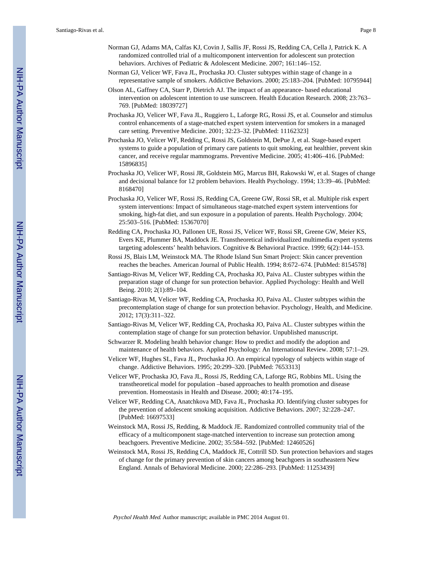- Norman GJ, Adams MA, Calfas KJ, Covin J, Sallis JF, Rossi JS, Redding CA, Cella J, Patrick K. A randomized controlled trial of a multicomponent intervention for adolescent sun protection behaviors. Archives of Pediatric & Adolescent Medicine. 2007; 161:146–152.
- Norman GJ, Velicer WF, Fava JL, Prochaska JO. Cluster subtypes within stage of change in a representative sample of smokers. Addictive Behaviors. 2000; 25:183–204. [PubMed: 10795944]
- Olson AL, Gaffney CA, Starr P, Dietrich AJ. The impact of an appearance- based educational intervention on adolescent intention to use sunscreen. Health Education Research. 2008; 23:763– 769. [PubMed: 18039727]
- Prochaska JO, Velicer WF, Fava JL, Ruggiero L, Laforge RG, Rossi JS, et al. Counselor and stimulus control enhancements of a stage-matched expert system intervention for smokers in a managed care setting. Preventive Medicine. 2001; 32:23–32. [PubMed: 11162323]
- Prochaska JO, Velicer WF, Redding C, Rossi JS, Goldstein M, DePue J, et al. Stage-based expert systems to guide a population of primary care patients to quit smoking, eat healthier, prevent skin cancer, and receive regular mammograms. Preventive Medicine. 2005; 41:406–416. [PubMed: 15896835]
- Prochaska JO, Velicer WF, Rossi JR, Goldstein MG, Marcus BH, Rakowski W, et al. Stages of change and decisional balance for 12 problem behaviors. Health Psychology. 1994; 13:39–46. [PubMed: 8168470]
- Prochaska JO, Velicer WF, Rossi JS, Redding CA, Greene GW, Rossi SR, et al. Multiple risk expert system interventions: Impact of simultaneous stage-matched expert system interventions for smoking, high-fat diet, and sun exposure in a population of parents. Health Psychology. 2004; 25:503–516. [PubMed: 15367070]
- Redding CA, Prochaska JO, Pallonen UE, Rossi JS, Velicer WF, Rossi SR, Greene GW, Meier KS, Evers KE, Plummer BA, Maddock JE. Transtheoretical individualized multimedia expert systems targeting adolescents' health behaviors. Cognitive & Behavioral Practice. 1999; 6(2):144–153.
- Rossi JS, Blais LM, Weinstock MA. The Rhode Island Sun Smart Project: Skin cancer prevention reaches the beaches. American Journal of Public Health. 1994; 8:672–674. [PubMed: 8154578]
- Santiago-Rivas M, Velicer WF, Redding CA, Prochaska JO, Paiva AL. Cluster subtypes within the preparation stage of change for sun protection behavior. Applied Psychology: Health and Well Being. 2010; 2(1):89–104.
- Santiago-Rivas M, Velicer WF, Redding CA, Prochaska JO, Paiva AL. Cluster subtypes within the precontemplation stage of change for sun protection behavior. Psychology, Health, and Medicine. 2012; 17(3):311–322.
- Santiago-Rivas M, Velicer WF, Redding CA, Prochaska JO, Paiva AL. Cluster subtypes within the contemplation stage of change for sun protection behavior. Unpublished manuscript.
- Schwarzer R. Modeling health behavior change: How to predict and modify the adoption and maintenance of health behaviors. Applied Psychology: An International Review. 2008; 57:1–29.
- Velicer WF, Hughes SL, Fava JL, Prochaska JO. An empirical typology of subjects within stage of change. Addictive Behaviors. 1995; 20:299–320. [PubMed: 7653313]
- Velicer WF, Prochaska JO, Fava JL, Rossi JS, Redding CA, Laforge RG, Robbins ML. Using the transtheoretical model for population –based approaches to health promotion and disease prevention. Homeostasis in Health and Disease. 2000; 40:174–195.
- Velicer WF, Redding CA, Anatchkova MD, Fava JL, Prochaska JO. Identifying cluster subtypes for the prevention of adolescent smoking acquisition. Addictive Behaviors. 2007; 32:228–247. [PubMed: 16697533]
- Weinstock MA, Rossi JS, Redding, & Maddock JE. Randomized controlled community trial of the efficacy of a multicomponent stage-matched intervention to increase sun protection among beachgoers. Preventive Medicine. 2002; 35:584–592. [PubMed: 12460526]
- Weinstock MA, Rossi JS, Redding CA, Maddock JE, Cottrill SD. Sun protection behaviors and stages of change for the primary prevention of skin cancers among beachgoers in southeastern New England. Annals of Behavioral Medicine. 2000; 22:286–293. [PubMed: 11253439]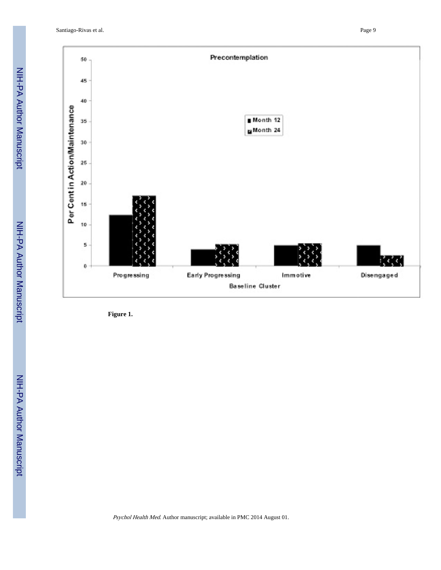Santiago-Rivas et al. Page 9



**Figure 1.**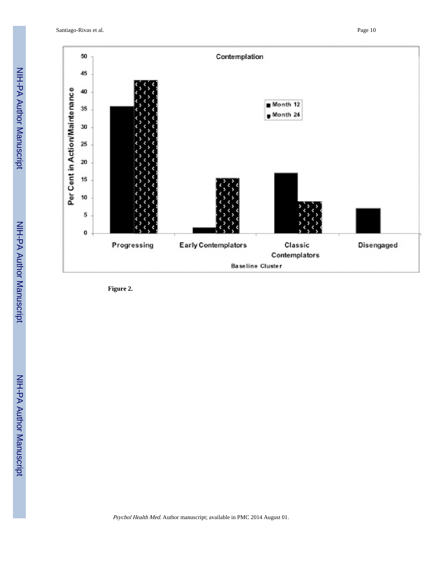Santiago-Rivas et al. Page 10



**Figure 2.**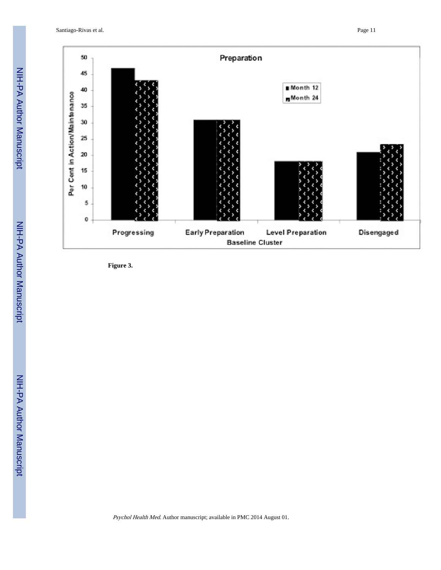Santiago-Rivas et al. Page 11



**Figure 3.**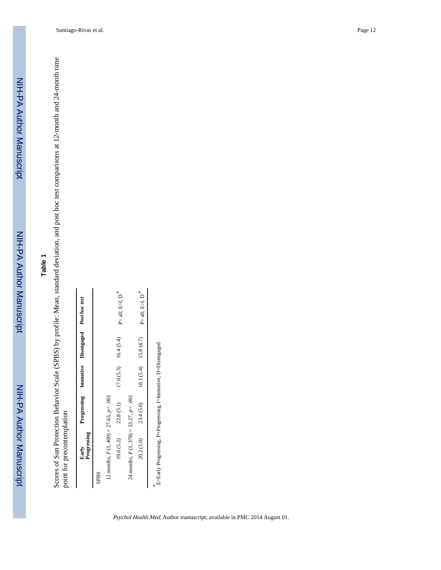## **Table 1**

Scores of Sun Protection Behavior Scale (SPBS) by profile: Mean, standard deviation, and post hoc test comparisons at 12-month and 24-month time<br>point for precontemplation Scores of Sun Protection Behavior Scale (SPBS) by profile: Mean, standard deviation, and post hoc test comparisons at 12-month and 24-month time point for precontemplation

| Progressing<br>Early                        |            | Progressing Immotive Disengaged Post hoc test |                                                                                                                                                                                                                                                |
|---------------------------------------------|------------|-----------------------------------------------|------------------------------------------------------------------------------------------------------------------------------------------------------------------------------------------------------------------------------------------------|
| SPBS                                        |            |                                               |                                                                                                                                                                                                                                                |
| 12 months, $F(3, 409) = 27.63$ , $p < .001$ |            |                                               |                                                                                                                                                                                                                                                |
| 19.6(5.2)                                   | 22.8 (5.1) | $17.6(5.3)$ 16.4 (5.4)                        | $\ensuremath{\mathop{\null {\mathop{\null {\mathop{\null {\mathop{\null {\mathop{\null {\mathop{\mathop{\null {\mathop{\mathop{\null {\mathop{\mathop{\mathop{\mathop{\mathop{\mathcal{U}}}}}}}}}}}}}}\nolimits}}\,}}\,}}\,}}\,}}\,}}\,},\,D)$ |
| 24 months, $F(3, 378) = 33.27$ , $p < .001$ |            |                                               |                                                                                                                                                                                                                                                |
| 20.2(5.0)                                   | 23.4(5.0)  | 18.1 $(5.4)$ 15.8 $(4.7)$                     | $\mbox{\bf P}\mbox{-}$ all;<br>E>I, D $^*$                                                                                                                                                                                                     |

E=Early Progressing, P=Progressing, I=Immotive, D=Disengaged E=Early Progressing, P=Progressing, I=Immotive, D=Disengaged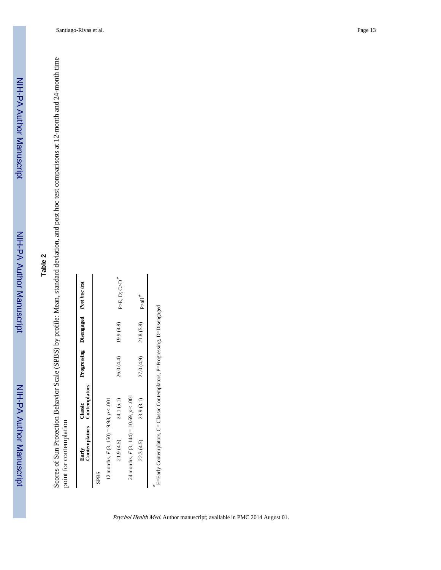# **Table 2**

Scores of Sun Protection Behavior Scale (SPBS) by profile: Mean, standard deviation, and post hoc test comparisons at 12-month and 24-month time<br>point for contemplation Scores of Sun Protection Behavior Scale (SPBS) by profile: Mean, standard deviation, and post hoc test comparisons at 12-month and 24-month time point for contemplation

|                                            | Early<br>Contemplators Contemplators |            | Progressing Disengaged Post hoc test |                                                                                                                                                      |
|--------------------------------------------|--------------------------------------|------------|--------------------------------------|------------------------------------------------------------------------------------------------------------------------------------------------------|
| <b>SPBS</b>                                |                                      |            |                                      |                                                                                                                                                      |
| 12 months, $F(3, 150) = 9.98$ , $p < .001$ |                                      |            |                                      |                                                                                                                                                      |
| 21.9(4.5)                                  | 24.1 (5.1)                           | 26.0 (4.4) | 19.9(4.8)                            | $\ensuremath{\text{P}}\xspace(\ensuremath{\text{E}}\xspace,\ensuremath{\text{D}}\xspace;\ensuremath{\text{C}}\xspace)\ensuremath{\text{D}}\xspace^*$ |
| 24 months, $F(3, 144) = 10.69, p < .001$   |                                      |            |                                      |                                                                                                                                                      |
| 22.3(4.5)                                  | 23.9 (3.1)                           | 27.0 (4.9) | 21.8 (5.8)                           | ™<br>Aall                                                                                                                                            |

 $*$   $-$ E=Early Contemplators, C= Classic Contemplators, P=Progressing, D=Disengaged